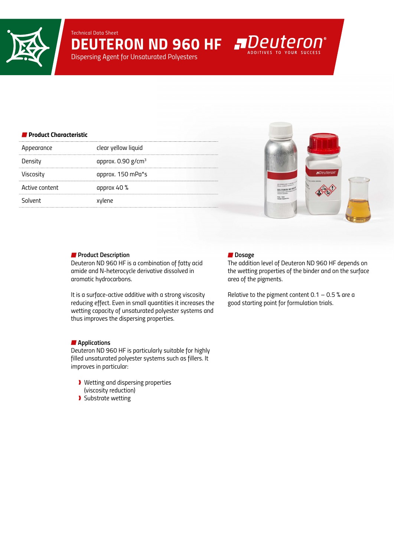*Technical Data Sheet*

# *DEUTERON ND 960 HF Dispersing Agent for Unsaturated Polyesters*

*Product Characteristic*

| Appearance     | clear yellow liquid              |
|----------------|----------------------------------|
| Density        | approx. $0.90$ g/cm <sup>3</sup> |
| Viscosity      | approx. 150 mPa*s                |
| Active content | approx 40 %                      |
| Solvent        | xylene                           |



OUR SUCCESS

### *Product Description*

*Deuteron ND 960 HF is a combination of fatty acid amide and N-heterocycle derivative dissolved in aromatic hydrocarbons.* 

*It is a surface-active additive with a strong viscosity reducing effect. Even in small quantities it increases the wetting capacity of unsaturated polyester systems and thus improves the dispersing properties.*

#### *Applications*

*Deuteron ND 960 HF is particularly suitable for highly filled unsaturated polyester systems such as fillers. It improves in particular:*

- ❱ *Wetting and dispersing properties (viscosity reduction)*
- ❱ *Substrate wetting*

### *Dosage*

*The addition level of Deuteron ND 960 HF depends on the wetting properties of the binder and on the surface area of the pigments.*

*Relative to the pigment content 0.1 – 0.5 % are a good starting point for formulation trials.*